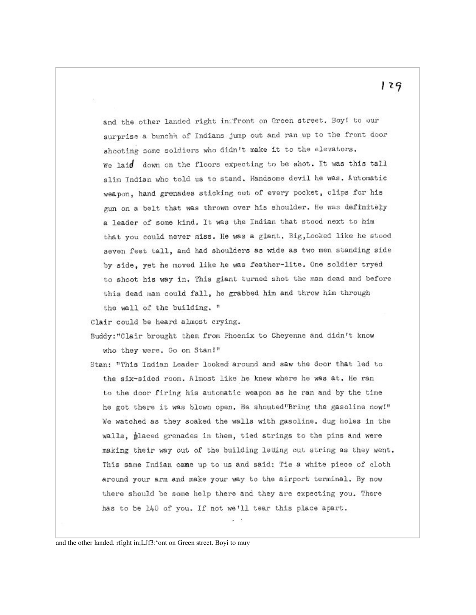and the other landed right inffront on Green street. Boy! to our surprise a bunchh of Indians jump out and ran up to the front door shooting some soldiers who didn't make it to the elevators. We laid down on the floors expecting to be shot. It was this tall slim Indian who told us to stand. Handsome devil he was. Automatic weapon, hand grenades sticking out of every pocket, clips for his gun on a belt that was thrown over his shoulder. He was definitely a leader of some kind. It was the Indian that stood next to him that you could never miss. He was a giant. Big, Looked like he stood seven feet tall, and had shoulders as wide as two men standing side by side, yet he moved like he was feather-lite. One soldier tryed to shoot his way in. This giant turned shot the man dead and before this dead man could fall, he grabbed him and throw him through the wall of the building. "

Clair could be heard almost crying.

Buddy: "Clair brought them from Phoenix to Cheyenne and didn't know who they were. Go on Stan!"

Stan: "This Indian Leader looked around and saw the door that led to the six-sided room. Almost like he knew where he was at. He ran to the door firing his automatic weapon as he ran and by the time he got there it was blown open. He shouted"Bring the gasoline now!" We watched as they soaked the walls with gasoline. dug holes in the walls, placed grenades in them, tied strings to the pins and were making their way out of the building letting out string as they went. This same Indian came up to us and said: Tie a white piece of cloth around your arm and make your way to the airport terminal. By now there should be some help there and they are expecting you. There has to be 140 of you. If not we'll tear this place apart.

and the other landed. rfight in;LJf3:'ont on Green street. Boyì to muy

129